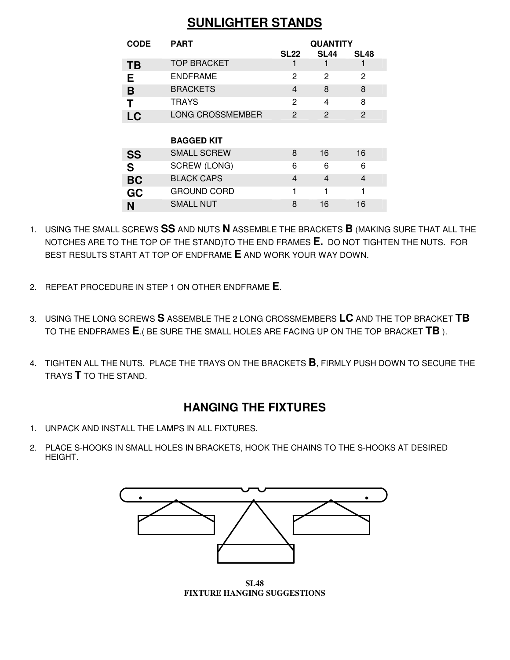## **SUNLIGHTER STANDS**

| <b>CODE</b> | <b>PART</b>             | <b>QUANTITY</b>         |                         |             |
|-------------|-------------------------|-------------------------|-------------------------|-------------|
|             |                         | SL22                    | <b>SL44</b>             | <b>SL48</b> |
| TВ          | <b>TOP BRACKET</b>      |                         |                         |             |
| Е           | <b>ENDFRAME</b>         | 2                       | 2                       | 2           |
| B           | <b>BRACKETS</b>         | 4                       | 8                       | 8           |
| Т           | <b>TRAYS</b>            | 2                       | 4                       | 8           |
| LC          | <b>LONG CROSSMEMBER</b> | 2                       | $\overline{c}$          | 2           |
|             |                         |                         |                         |             |
|             | <b>BAGGED KIT</b>       |                         |                         |             |
| <b>SS</b>   | <b>SMALL SCREW</b>      | 8                       | 16                      | 16          |
| S           | SCREW (LONG)            | 6                       | 6                       | 6           |
| <b>BC</b>   | <b>BLACK CAPS</b>       | $\overline{\mathbf{4}}$ | $\overline{\mathbf{4}}$ | 4           |
| GC          | <b>GROUND CORD</b>      | 1                       | 1                       | 1           |
| N           | <b>SMALL NUT</b>        | 8                       | 16                      | 16          |

- 1. USING THE SMALL SCREWS **SS** AND NUTS **N** ASSEMBLE THE BRACKETS **B** (MAKING SURE THAT ALL THE NOTCHES ARE TO THE TOP OF THE STAND)TO THE END FRAMES **E.** DO NOT TIGHTEN THE NUTS. FOR BEST RESULTS START AT TOP OF ENDFRAME **E** AND WORK YOUR WAY DOWN.
- 2. REPEAT PROCEDURE IN STEP 1 ON OTHER ENDFRAME **E**.
- 3. USING THE LONG SCREWS **S** ASSEMBLE THE 2 LONG CROSSMEMBERS **LC** AND THE TOP BRACKET **TB** TO THE ENDFRAMES **E**.( BE SURE THE SMALL HOLES ARE FACING UP ON THE TOP BRACKET **TB** ).
- 4. TIGHTEN ALL THE NUTS. PLACE THE TRAYS ON THE BRACKETS **B**, FIRMLY PUSH DOWN TO SECURE THE TRAYS **T** TO THE STAND.

## **HANGING THE FIXTURES**

- 1. UNPACK AND INSTALL THE LAMPS IN ALL FIXTURES.
- 2. PLACE S-HOOKS IN SMALL HOLES IN BRACKETS, HOOK THE CHAINS TO THE S-HOOKS AT DESIRED HEIGHT.



**SL48 FIXTURE HANGING SUGGESTIONS**